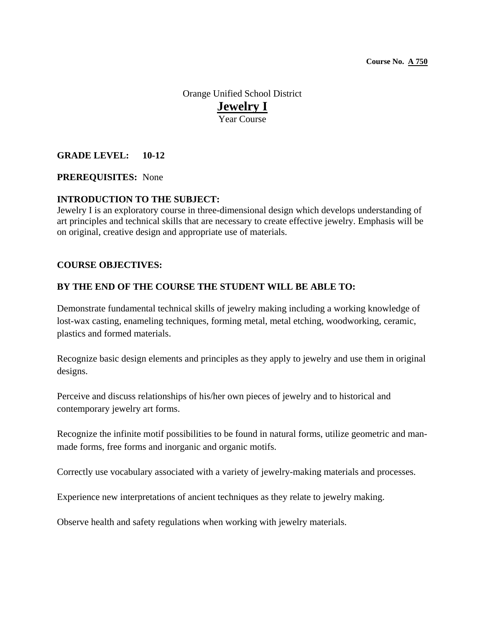Orange Unified School District **Jewelry I** Year Course

# **GRADE LEVEL: 10-12**

## **PREREQUISITES:** None

### **INTRODUCTION TO THE SUBJECT:**

Jewelry I is an exploratory course in three-dimensional design which develops understanding of art principles and technical skills that are necessary to create effective jewelry. Emphasis will be on original, creative design and appropriate use of materials.

### **COURSE OBJECTIVES:**

## **BY THE END OF THE COURSE THE STUDENT WILL BE ABLE TO:**

Demonstrate fundamental technical skills of jewelry making including a working knowledge of lost-wax casting, enameling techniques, forming metal, metal etching, woodworking, ceramic, plastics and formed materials.

Recognize basic design elements and principles as they apply to jewelry and use them in original designs.

Perceive and discuss relationships of his/her own pieces of jewelry and to historical and contemporary jewelry art forms.

Recognize the infinite motif possibilities to be found in natural forms, utilize geometric and manmade forms, free forms and inorganic and organic motifs.

Correctly use vocabulary associated with a variety of jewelry-making materials and processes.

Experience new interpretations of ancient techniques as they relate to jewelry making.

Observe health and safety regulations when working with jewelry materials.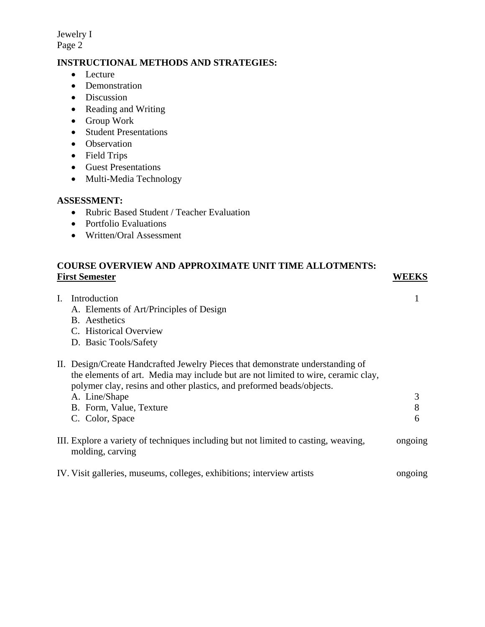Jewelry I Page 2

# **INSTRUCTIONAL METHODS AND STRATEGIES:**

- Lecture
- Demonstration
- Discussion
- Reading and Writing
- Group Work
- Student Presentations
- Observation
- Field Trips
- Guest Presentations
- Multi-Media Technology

## **ASSESSMENT:**

- Rubric Based Student / Teacher Evaluation
- Portfolio Evaluations
- Written/Oral Assessment

# **COURSE OVERVIEW AND APPROXIMATE UNIT TIME ALLOTMENTS: First Semester WEEKS**

- I. Introduction 1 A. Elements of Art/Principles of Design B. Aesthetics C. Historical Overview D. Basic Tools/Safety II. Design/Create Handcrafted Jewelry Pieces that demonstrate understanding of the elements of art. Media may include but are not limited to wire, ceramic clay, polymer clay, resins and other plastics, and preformed beads/objects. A. Line/Shape 3 B. Form, Value, Texture 8 C. Color, Space 6 III. Explore a variety of techniques including but not limited to casting, weaving, ongoing molding, carving
- IV. Visit galleries, museums, colleges, exhibitions; interview artists ongoing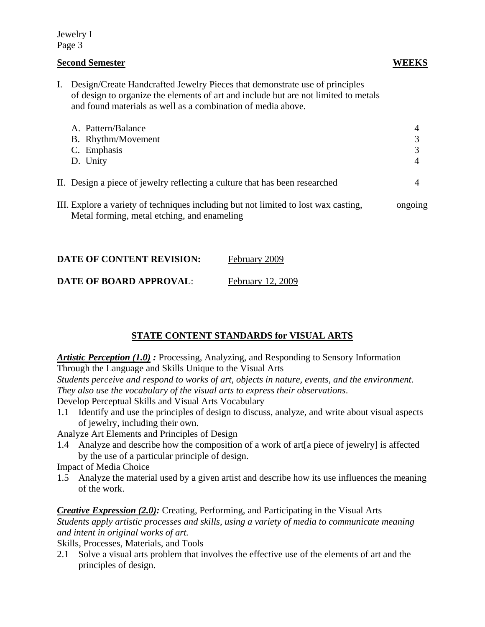## Jewelry I Page 3

# **Second Semester WEEKS**

I. Design/Create Handcrafted Jewelry Pieces that demonstrate use of principles of design to organize the elements of art and include but are not limited to metals and found materials as well as a combination of media above.

| A. Pattern/Balance<br>B. Rhythm/Movement<br>C. Emphasis<br>D. Unity         |  |
|-----------------------------------------------------------------------------|--|
| II. Design a piece of jewelry reflecting a culture that has been researched |  |

III. Explore a variety of techniques including but not limited to lost wax casting, ongoing Metal forming, metal etching, and enameling

| <b>DATE OF CONTENT REVISION:</b> | February 2009     |
|----------------------------------|-------------------|
| <b>DATE OF BOARD APPROVAL:</b>   | February 12, 2009 |

# **STATE CONTENT STANDARDS for VISUAL ARTS**

*Artistic Perception (1.0) :* Processing, Analyzing, and Responding to Sensory Information Through the Language and Skills Unique to the Visual Arts

*Students perceive and respond to works of art, objects in nature, events, and the environment. They also use the vocabulary of the visual arts to express their observations*.

Develop Perceptual Skills and Visual Arts Vocabulary

1.1 Identify and use the principles of design to discuss, analyze, and write about visual aspects of jewelry, including their own.

Analyze Art Elements and Principles of Design

1.4 Analyze and describe how the composition of a work of art[a piece of jewelry] is affected by the use of a particular principle of design.

Impact of Media Choice

1.5 Analyze the material used by a given artist and describe how its use influences the meaning of the work.

*Creative Expression (2.0):* Creating, Performing, and Participating in the Visual Arts *Students apply artistic processes and skills, using a variety of media to communicate meaning and intent in original works of art.* 

Skills, Processes, Materials, and Tools

2.1 Solve a visual arts problem that involves the effective use of the elements of art and the principles of design.